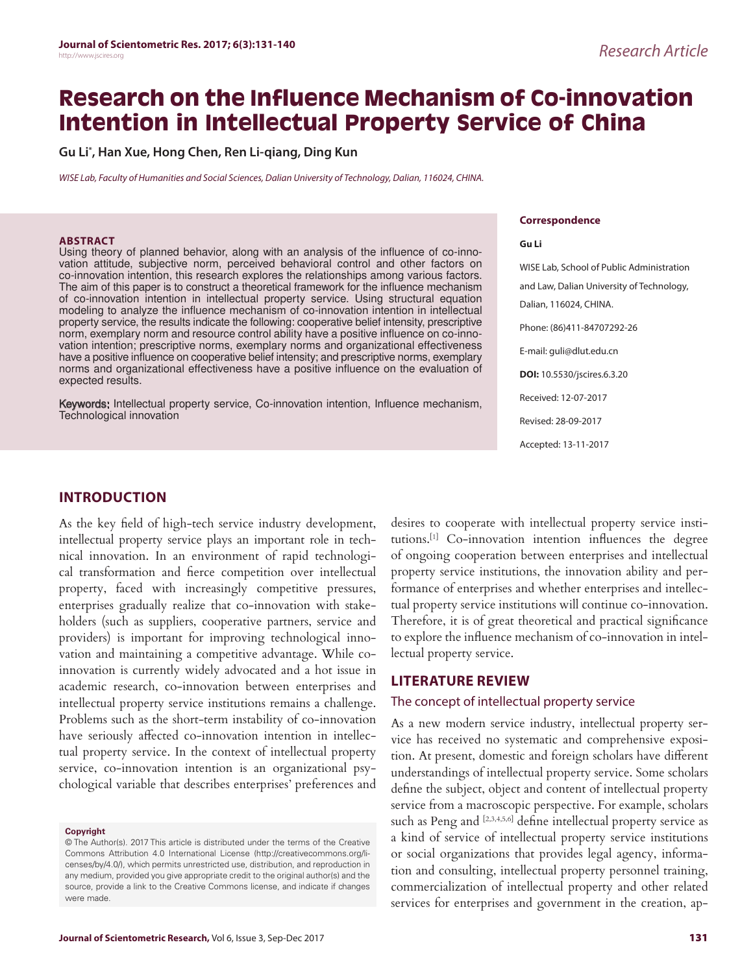# **Research on the Influence Mechanism of Co-innovation Intention in Intellectual Property Service of China**

**Gu Li\* , Han Xue, Hong Chen, Ren Li-qiang, Ding Kun**

*WISE Lab, Faculty of Humanities and Social Sciences, Dalian University of Technology, Dalian, 116024, CHINA.*

#### **ABSTRACT**

Using theory of planned behavior, along with an analysis of the influence of co-innovation attitude, subjective norm, perceived behavioral control and other factors on co-innovation intention, this research explores the relationships among various factors. The aim of this paper is to construct a theoretical framework for the influence mechanism of co-innovation intention in intellectual property service. Using structural equation modeling to analyze the influence mechanism of co-innovation intention in intellectual property service, the results indicate the following: cooperative belief intensity, prescriptive norm, exemplary norm and resource control ability have a positive influence on co-innovation intention; prescriptive norms, exemplary norms and organizational effectiveness have a positive influence on cooperative belief intensity; and prescriptive norms, exemplary norms and organizational effectiveness have a positive influence on the evaluation of expected results.

Keywords: Intellectual property service, Co-innovation intention, Influence mechanism, Technological innovation

#### **Correspondence**

#### **Gu Li**

WISE Lab, School of Public Administration and Law, Dalian University of Technology, Dalian, 116024, CHINA. Phone: (86)411-84707292-26 E-mail: guli@dlut.edu.cn **DOI:** 10.5530/jscires.6.3.20 Received: 12-07-2017 Revised: 28-09-2017 Accepted: 13-11-2017

# **INTRODUCTION**

As the key field of high-tech service industry development, intellectual property service plays an important role in technical innovation. In an environment of rapid technological transformation and fierce competition over intellectual property, faced with increasingly competitive pressures, enterprises gradually realize that co-innovation with stakeholders (such as suppliers, cooperative partners, service and providers) is important for improving technological innovation and maintaining a competitive advantage. While coinnovation is currently widely advocated and a hot issue in academic research, co-innovation between enterprises and intellectual property service institutions remains a challenge. Problems such as the short-term instability of co-innovation have seriously affected co-innovation intention in intellectual property service. In the context of intellectual property service, co-innovation intention is an organizational psychological variable that describes enterprises' preferences and

#### **Copyright**

desires to cooperate with intellectual property service institutions.[1] Co-innovation intention influences the degree of ongoing cooperation between enterprises and intellectual property service institutions, the innovation ability and performance of enterprises and whether enterprises and intellectual property service institutions will continue co-innovation. Therefore, it is of great theoretical and practical significance to explore the influence mechanism of co-innovation in intellectual property service.

# **LITERATURE REVIEW**

# The concept of intellectual property service

As a new modern service industry, intellectual property service has received no systematic and comprehensive exposition. At present, domestic and foreign scholars have different understandings of intellectual property service. Some scholars define the subject, object and content of intellectual property service from a macroscopic perspective. For example, scholars such as Peng and [2,3,4,5,6] define intellectual property service as a kind of service of intellectual property service institutions or social organizations that provides legal agency, information and consulting, intellectual property personnel training, commercialization of intellectual property and other related services for enterprises and government in the creation, ap-

<sup>©</sup> The Author(s). 2017 This article is distributed under the terms of the Creative Commons Attribution 4.0 International License (http://creativecommons.org/licenses/by/4.0/), which permits unrestricted use, distribution, and reproduction in any medium, provided you give appropriate credit to the original author(s) and the source, provide a link to the Creative Commons license, and indicate if changes were made.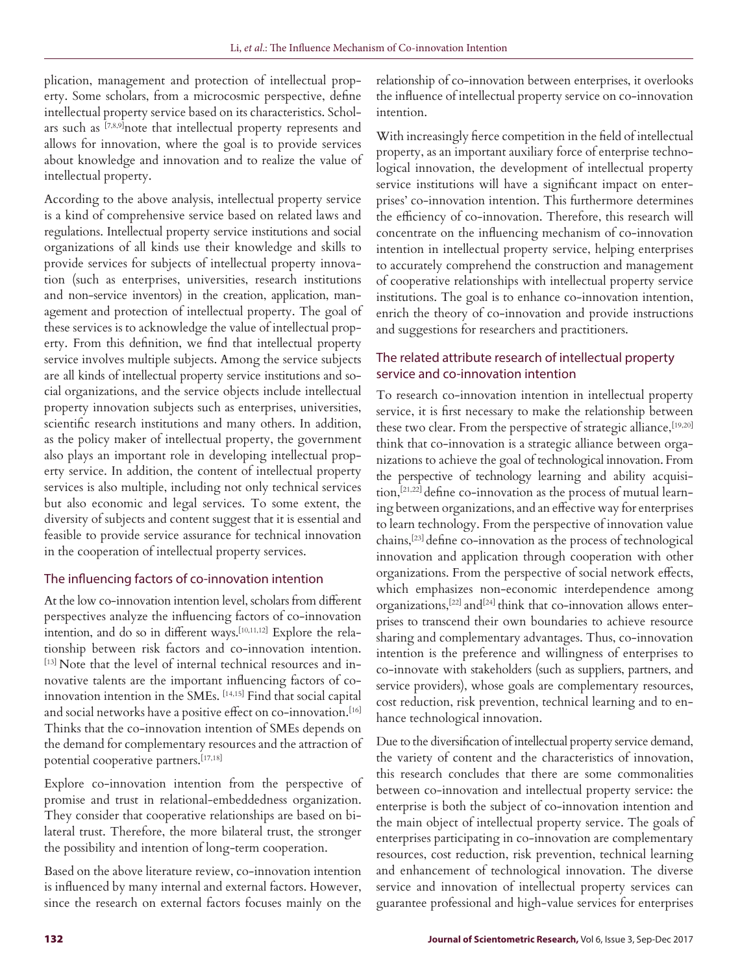plication, management and protection of intellectual property. Some scholars, from a microcosmic perspective, define intellectual property service based on its characteristics. Scholars such as [7,8,9]note that intellectual property represents and allows for innovation, where the goal is to provide services about knowledge and innovation and to realize the value of intellectual property.

According to the above analysis, intellectual property service is a kind of comprehensive service based on related laws and regulations. Intellectual property service institutions and social organizations of all kinds use their knowledge and skills to provide services for subjects of intellectual property innovation (such as enterprises, universities, research institutions and non-service inventors) in the creation, application, management and protection of intellectual property. The goal of these services is to acknowledge the value of intellectual property. From this definition, we find that intellectual property service involves multiple subjects. Among the service subjects are all kinds of intellectual property service institutions and social organizations, and the service objects include intellectual property innovation subjects such as enterprises, universities, scientific research institutions and many others. In addition, as the policy maker of intellectual property, the government also plays an important role in developing intellectual property service. In addition, the content of intellectual property services is also multiple, including not only technical services but also economic and legal services. To some extent, the diversity of subjects and content suggest that it is essential and feasible to provide service assurance for technical innovation in the cooperation of intellectual property services.

# The influencing factors of co-innovation intention

At the low co-innovation intention level, scholars from different perspectives analyze the influencing factors of co-innovation intention, and do so in different ways.<sup>[10,11,12]</sup> Explore the relationship between risk factors and co-innovation intention. [13] Note that the level of internal technical resources and innovative talents are the important influencing factors of coinnovation intention in the SMEs. [14,15] Find that social capital and social networks have a positive effect on co-innovation.<sup>[16]</sup> Thinks that the co-innovation intention of SMEs depends on the demand for complementary resources and the attraction of potential cooperative partners.[17,18]

Explore co-innovation intention from the perspective of promise and trust in relational-embeddedness organization. They consider that cooperative relationships are based on bilateral trust. Therefore, the more bilateral trust, the stronger the possibility and intention of long-term cooperation.

Based on the above literature review, co-innovation intention is influenced by many internal and external factors. However, since the research on external factors focuses mainly on the relationship of co-innovation between enterprises, it overlooks the influence of intellectual property service on co-innovation intention.

With increasingly fierce competition in the field of intellectual property, as an important auxiliary force of enterprise technological innovation, the development of intellectual property service institutions will have a significant impact on enterprises' co-innovation intention. This furthermore determines the efficiency of co-innovation. Therefore, this research will concentrate on the influencing mechanism of co-innovation intention in intellectual property service, helping enterprises to accurately comprehend the construction and management of cooperative relationships with intellectual property service institutions. The goal is to enhance co-innovation intention, enrich the theory of co-innovation and provide instructions and suggestions for researchers and practitioners.

# The related attribute research of intellectual property service and co-innovation intention

To research co-innovation intention in intellectual property service, it is first necessary to make the relationship between these two clear. From the perspective of strategic alliance, [19,20] think that co-innovation is a strategic alliance between organizations to achieve the goal of technological innovation. From the perspective of technology learning and ability acquisition,[21,22] define co-innovation as the process of mutual learning between organizations, and an effective way for enterprises to learn technology. From the perspective of innovation value chains,[23] define co-innovation as the process of technological innovation and application through cooperation with other organizations. From the perspective of social network effects, which emphasizes non-economic interdependence among organizations,[22] and[24] think that co-innovation allows enterprises to transcend their own boundaries to achieve resource sharing and complementary advantages. Thus, co-innovation intention is the preference and willingness of enterprises to co-innovate with stakeholders (such as suppliers, partners, and service providers), whose goals are complementary resources, cost reduction, risk prevention, technical learning and to enhance technological innovation.

Due to the diversification of intellectual property service demand, the variety of content and the characteristics of innovation, this research concludes that there are some commonalities between co-innovation and intellectual property service: the enterprise is both the subject of co-innovation intention and the main object of intellectual property service. The goals of enterprises participating in co-innovation are complementary resources, cost reduction, risk prevention, technical learning and enhancement of technological innovation. The diverse service and innovation of intellectual property services can guarantee professional and high-value services for enterprises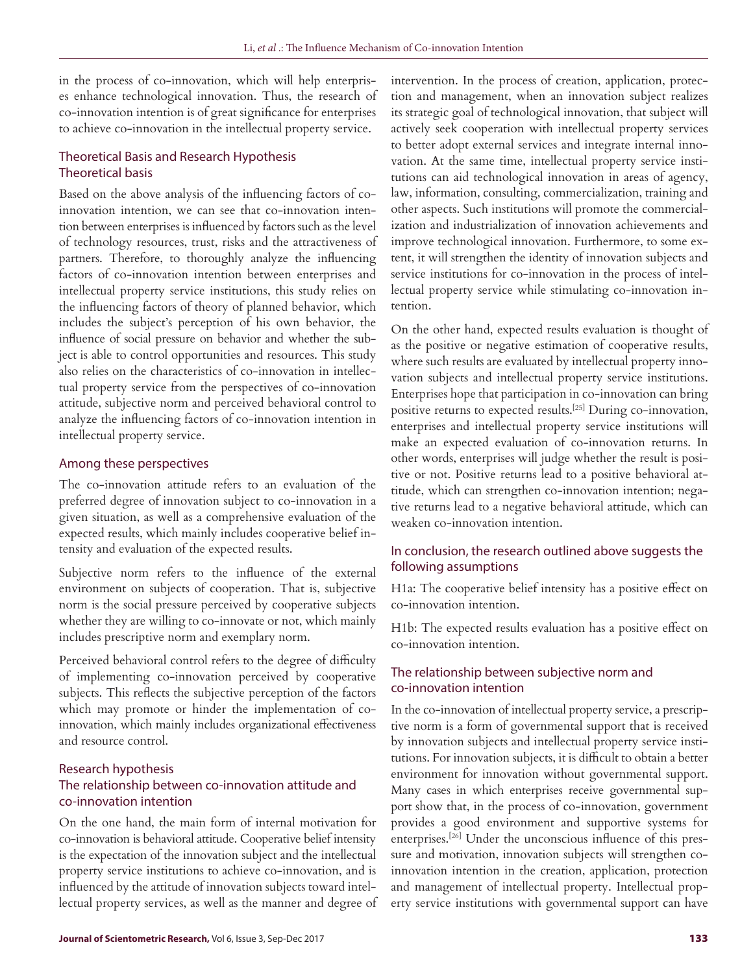in the process of co-innovation, which will help enterprises enhance technological innovation. Thus, the research of co-innovation intention is of great significance for enterprises to achieve co-innovation in the intellectual property service.

# Theoretical Basis and Research Hypothesis Theoretical basis

Based on the above analysis of the influencing factors of coinnovation intention, we can see that co-innovation intention between enterprises is influenced by factors such as the level of technology resources, trust, risks and the attractiveness of partners. Therefore, to thoroughly analyze the influencing factors of co-innovation intention between enterprises and intellectual property service institutions, this study relies on the influencing factors of theory of planned behavior, which includes the subject's perception of his own behavior, the influence of social pressure on behavior and whether the subject is able to control opportunities and resources. This study also relies on the characteristics of co-innovation in intellectual property service from the perspectives of co-innovation attitude, subjective norm and perceived behavioral control to analyze the influencing factors of co-innovation intention in intellectual property service.

# Among these perspectives

The co-innovation attitude refers to an evaluation of the preferred degree of innovation subject to co-innovation in a given situation, as well as a comprehensive evaluation of the expected results, which mainly includes cooperative belief intensity and evaluation of the expected results.

Subjective norm refers to the influence of the external environment on subjects of cooperation. That is, subjective norm is the social pressure perceived by cooperative subjects whether they are willing to co-innovate or not, which mainly includes prescriptive norm and exemplary norm.

Perceived behavioral control refers to the degree of difficulty of implementing co-innovation perceived by cooperative subjects. This reflects the subjective perception of the factors which may promote or hinder the implementation of coinnovation, which mainly includes organizational effectiveness and resource control.

# Research hypothesis The relationship between co-innovation attitude and co-innovation intention

On the one hand, the main form of internal motivation for co-innovation is behavioral attitude. Cooperative belief intensity is the expectation of the innovation subject and the intellectual property service institutions to achieve co-innovation, and is influenced by the attitude of innovation subjects toward intellectual property services, as well as the manner and degree of

intervention. In the process of creation, application, protection and management, when an innovation subject realizes its strategic goal of technological innovation, that subject will actively seek cooperation with intellectual property services to better adopt external services and integrate internal innovation. At the same time, intellectual property service institutions can aid technological innovation in areas of agency, law, information, consulting, commercialization, training and other aspects. Such institutions will promote the commercialization and industrialization of innovation achievements and improve technological innovation. Furthermore, to some extent, it will strengthen the identity of innovation subjects and service institutions for co-innovation in the process of intellectual property service while stimulating co-innovation intention.

On the other hand, expected results evaluation is thought of as the positive or negative estimation of cooperative results, where such results are evaluated by intellectual property innovation subjects and intellectual property service institutions. Enterprises hope that participation in co-innovation can bring positive returns to expected results.[25] During co-innovation, enterprises and intellectual property service institutions will make an expected evaluation of co-innovation returns. In other words, enterprises will judge whether the result is positive or not. Positive returns lead to a positive behavioral attitude, which can strengthen co-innovation intention; negative returns lead to a negative behavioral attitude, which can weaken co-innovation intention.

# In conclusion, the research outlined above suggests the following assumptions

H1a: The cooperative belief intensity has a positive effect on co-innovation intention.

H1b: The expected results evaluation has a positive effect on co-innovation intention.

# The relationship between subjective norm and co-innovation intention

In the co-innovation of intellectual property service, a prescriptive norm is a form of governmental support that is received by innovation subjects and intellectual property service institutions. For innovation subjects, it is difficult to obtain a better environment for innovation without governmental support. Many cases in which enterprises receive governmental support show that, in the process of co-innovation, government provides a good environment and supportive systems for enterprises.[26] Under the unconscious influence of this pressure and motivation, innovation subjects will strengthen coinnovation intention in the creation, application, protection and management of intellectual property. Intellectual property service institutions with governmental support can have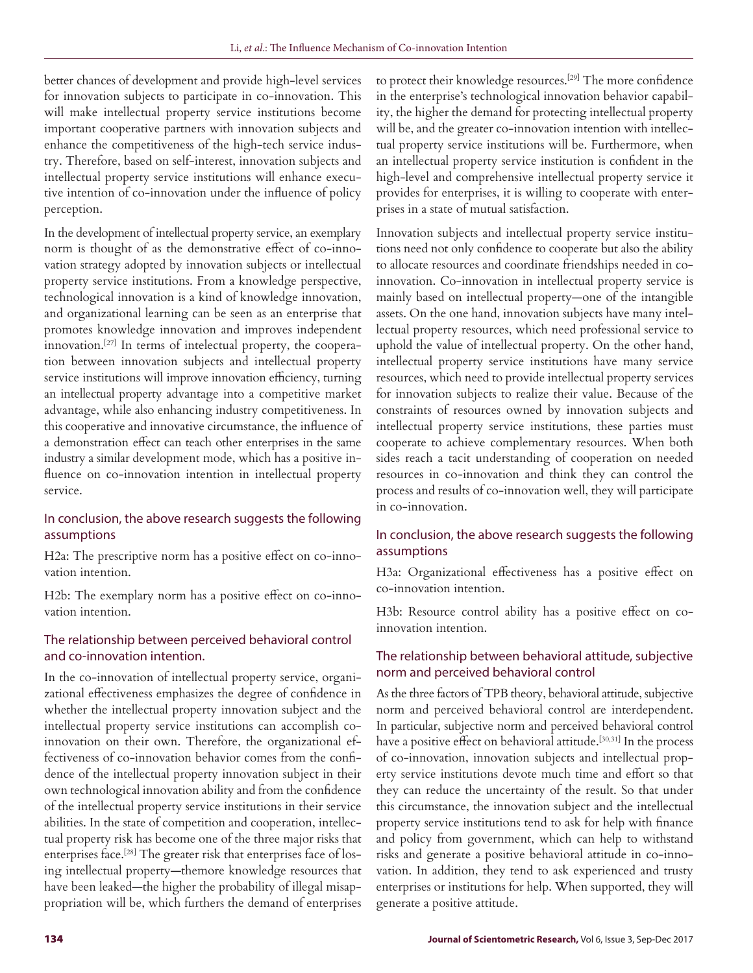better chances of development and provide high-level services for innovation subjects to participate in co-innovation. This will make intellectual property service institutions become important cooperative partners with innovation subjects and enhance the competitiveness of the high-tech service industry. Therefore, based on self-interest, innovation subjects and intellectual property service institutions will enhance executive intention of co-innovation under the influence of policy perception.

In the development of intellectual property service, an exemplary norm is thought of as the demonstrative effect of co-innovation strategy adopted by innovation subjects or intellectual property service institutions. From a knowledge perspective, technological innovation is a kind of knowledge innovation, and organizational learning can be seen as an enterprise that promotes knowledge innovation and improves independent innovation.[27] In terms of intelectual property, the cooperation between innovation subjects and intellectual property service institutions will improve innovation efficiency, turning an intellectual property advantage into a competitive market advantage, while also enhancing industry competitiveness. In this cooperative and innovative circumstance, the influence of a demonstration effect can teach other enterprises in the same industry a similar development mode, which has a positive influence on co-innovation intention in intellectual property service.

# In conclusion, the above research suggests the following assumptions

H2a: The prescriptive norm has a positive effect on co-innovation intention.

H2b: The exemplary norm has a positive effect on co-innovation intention.

# The relationship between perceived behavioral control and co-innovation intention.

In the co-innovation of intellectual property service, organizational effectiveness emphasizes the degree of confidence in whether the intellectual property innovation subject and the intellectual property service institutions can accomplish coinnovation on their own. Therefore, the organizational effectiveness of co-innovation behavior comes from the confidence of the intellectual property innovation subject in their own technological innovation ability and from the confidence of the intellectual property service institutions in their service abilities. In the state of competition and cooperation, intellectual property risk has become one of the three major risks that enterprises face.[28] The greater risk that enterprises face of losing intellectual property—themore knowledge resources that have been leaked—the higher the probability of illegal misappropriation will be, which furthers the demand of enterprises

to protect their knowledge resources.[29] The more confidence in the enterprise's technological innovation behavior capability, the higher the demand for protecting intellectual property will be, and the greater co-innovation intention with intellectual property service institutions will be. Furthermore, when an intellectual property service institution is confident in the high-level and comprehensive intellectual property service it provides for enterprises, it is willing to cooperate with enterprises in a state of mutual satisfaction.

Innovation subjects and intellectual property service institutions need not only confidence to cooperate but also the ability to allocate resources and coordinate friendships needed in coinnovation. Co-innovation in intellectual property service is mainly based on intellectual property—one of the intangible assets. On the one hand, innovation subjects have many intellectual property resources, which need professional service to uphold the value of intellectual property. On the other hand, intellectual property service institutions have many service resources, which need to provide intellectual property services for innovation subjects to realize their value. Because of the constraints of resources owned by innovation subjects and intellectual property service institutions, these parties must cooperate to achieve complementary resources. When both sides reach a tacit understanding of cooperation on needed resources in co-innovation and think they can control the process and results of co-innovation well, they will participate in co-innovation.

# In conclusion, the above research suggests the following assumptions

H3a: Organizational effectiveness has a positive effect on co-innovation intention.

H3b: Resource control ability has a positive effect on coinnovation intention.

# The relationship between behavioral attitude, subjective norm and perceived behavioral control

As the three factors of TPB theory, behavioral attitude, subjective norm and perceived behavioral control are interdependent. In particular, subjective norm and perceived behavioral control have a positive effect on behavioral attitude.<sup>[30,31]</sup> In the process of co-innovation, innovation subjects and intellectual property service institutions devote much time and effort so that they can reduce the uncertainty of the result. So that under this circumstance, the innovation subject and the intellectual property service institutions tend to ask for help with finance and policy from government, which can help to withstand risks and generate a positive behavioral attitude in co-innovation. In addition, they tend to ask experienced and trusty enterprises or institutions for help. When supported, they will generate a positive attitude.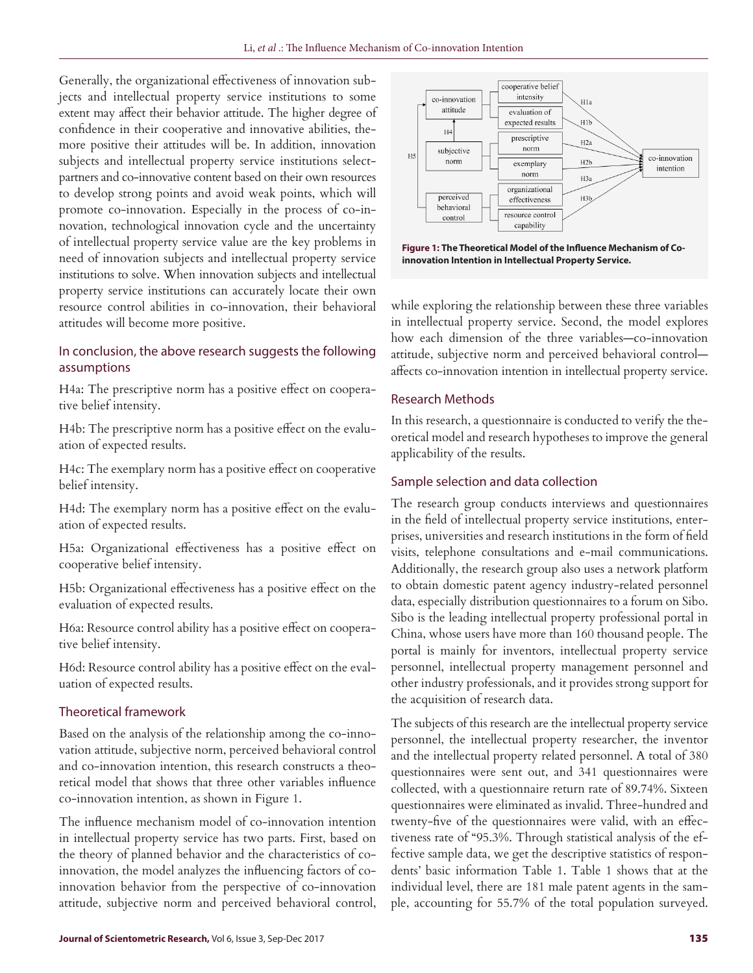Generally, the organizational effectiveness of innovation subjects and intellectual property service institutions to some extent may affect their behavior attitude. The higher degree of confidence in their cooperative and innovative abilities, themore positive their attitudes will be. In addition, innovation subjects and intellectual property service institutions selectpartners and co-innovative content based on their own resources to develop strong points and avoid weak points, which will promote co-innovation. Especially in the process of co-innovation, technological innovation cycle and the uncertainty of intellectual property service value are the key problems in need of innovation subjects and intellectual property service institutions to solve. When innovation subjects and intellectual property service institutions can accurately locate their own resource control abilities in co-innovation, their behavioral attitudes will become more positive.

# In conclusion, the above research suggests the following assumptions

H4a: The prescriptive norm has a positive effect on cooperative belief intensity.

H4b: The prescriptive norm has a positive effect on the evaluation of expected results.

H4c: The exemplary norm has a positive effect on cooperative belief intensity.

H4d: The exemplary norm has a positive effect on the evaluation of expected results.

H5a: Organizational effectiveness has a positive effect on cooperative belief intensity.

H5b: Organizational effectiveness has a positive effect on the evaluation of expected results.

H6a: Resource control ability has a positive effect on cooperative belief intensity.

H6d: Resource control ability has a positive effect on the evaluation of expected results.

# Theoretical framework

Based on the analysis of the relationship among the co-innovation attitude, subjective norm, perceived behavioral control and co-innovation intention, this research constructs a theoretical model that shows that three other variables influence co-innovation intention, as shown in Figure 1.

The influence mechanism model of co-innovation intention in intellectual property service has two parts. First, based on the theory of planned behavior and the characteristics of coinnovation, the model analyzes the influencing factors of coinnovation behavior from the perspective of co-innovation attitude, subjective norm and perceived behavioral control,



**Figure 1: The Theoretical Model of the Influence Mechanism of Coinnovation Intention in Intellectual Property Service.**

while exploring the relationship between these three variables in intellectual property service. Second, the model explores how each dimension of the three variables—co-innovation attitude, subjective norm and perceived behavioral control affects co-innovation intention in intellectual property service.

# Research Methods

In this research, a questionnaire is conducted to verify the theoretical model and research hypotheses to improve the general applicability of the results.

# Sample selection and data collection

The research group conducts interviews and questionnaires in the field of intellectual property service institutions, enterprises, universities and research institutions in the form of field visits, telephone consultations and e-mail communications. Additionally, the research group also uses a network platform to obtain domestic patent agency industry-related personnel data, especially distribution questionnaires to a forum on Sibo. Sibo is the leading intellectual property professional portal in China, whose users have more than 160 thousand people. The portal is mainly for inventors, intellectual property service personnel, intellectual property management personnel and other industry professionals, and it provides strong support for the acquisition of research data.

The subjects of this research are the intellectual property service personnel, the intellectual property researcher, the inventor and the intellectual property related personnel. A total of 380 questionnaires were sent out, and 341 questionnaires were collected, with a questionnaire return rate of 89.74%. Sixteen questionnaires were eliminated as invalid. Three-hundred and twenty-five of the questionnaires were valid, with an effectiveness rate of "95.3%. Through statistical analysis of the effective sample data, we get the descriptive statistics of respondents' basic information Table 1. Table 1 shows that at the individual level, there are 181 male patent agents in the sample, accounting for 55.7% of the total population surveyed.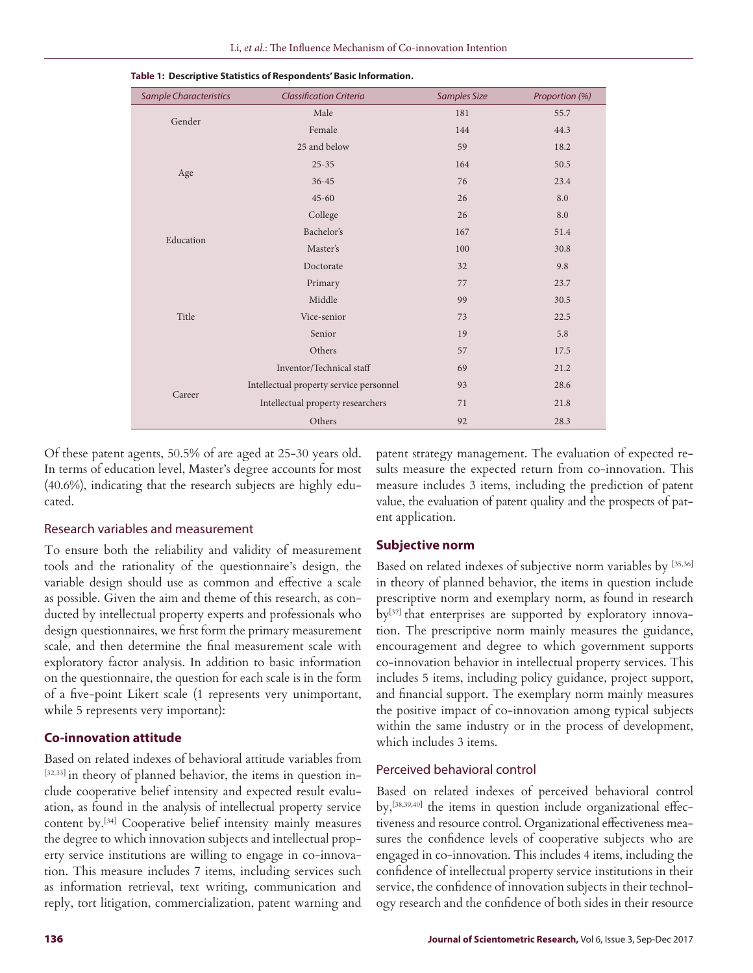| <b>Sample Characteristics</b> | <b>Classification Criteria</b>          | <b>Samples Size</b> | Proportion (%) |
|-------------------------------|-----------------------------------------|---------------------|----------------|
| Gender                        | Male                                    | 181                 | 55.7           |
|                               | Female                                  | 144                 | 44.3           |
| Age                           | 25 and below                            | 59                  | 18.2           |
|                               | $25 - 35$                               | 164                 | 50.5           |
|                               | $36 - 45$                               | 76                  | 23.4           |
|                               | $45 - 60$                               | 26                  | 8.0            |
| Education                     | College                                 | 26                  | 8.0            |
|                               | Bachelor's                              | 167                 | 51.4           |
|                               | Master's                                | 100                 | 30.8           |
|                               | Doctorate                               | 32                  | 9.8            |
| Title                         | Primary                                 | 77                  | 23.7           |
|                               | Middle                                  | 99                  | 30.5           |
|                               | Vice-senior                             | 73                  | 22.5           |
|                               | Senior                                  | 19                  | 5.8            |
|                               | Others                                  | 57                  | 17.5           |
|                               | Inventor/Technical staff                | 69                  | 21.2           |
|                               | Intellectual property service personnel | 93                  | 28.6           |
| Career                        | Intellectual property researchers       | 71                  | 21.8           |
|                               | Others                                  | 92                  | 28.3           |

**Table 1: Descriptive Statistics of Respondents' Basic Information.**

Of these patent agents, 50.5% of are aged at 25-30 years old. In terms of education level, Master's degree accounts for most (40.6%), indicating that the research subjects are highly educated.

#### Research variables and measurement

To ensure both the reliability and validity of measurement tools and the rationality of the questionnaire's design, the variable design should use as common and effective a scale as possible. Given the aim and theme of this research, as conducted by intellectual property experts and professionals who design questionnaires, we first form the primary measurement scale, and then determine the final measurement scale with exploratory factor analysis. In addition to basic information on the questionnaire, the question for each scale is in the form of a five-point Likert scale (1 represents very unimportant, while 5 represents very important):

#### **Co-innovation attitude**

Based on related indexes of behavioral attitude variables from [32,33] in theory of planned behavior, the items in question include cooperative belief intensity and expected result evaluation, as found in the analysis of intellectual property service content by.[34] Cooperative belief intensity mainly measures the degree to which innovation subjects and intellectual property service institutions are willing to engage in co-innovation. This measure includes 7 items, including services such as information retrieval, text writing, communication and reply, tort litigation, commercialization, patent warning and patent strategy management. The evaluation of expected results measure the expected return from co-innovation. This measure includes 3 items, including the prediction of patent value, the evaluation of patent quality and the prospects of patent application.

### **Subjective norm**

Based on related indexes of subjective norm variables by [35,36] in theory of planned behavior, the items in question include prescriptive norm and exemplary norm, as found in research by[37] that enterprises are supported by exploratory innovation. The prescriptive norm mainly measures the guidance, encouragement and degree to which government supports co-innovation behavior in intellectual property services. This includes 5 items, including policy guidance, project support, and financial support. The exemplary norm mainly measures the positive impact of co-innovation among typical subjects within the same industry or in the process of development, which includes 3 items.

# Perceived behavioral control

Based on related indexes of perceived behavioral control by,[38,39,40] the items in question include organizational effectiveness and resource control. Organizational effectiveness measures the confidence levels of cooperative subjects who are engaged in co-innovation. This includes 4 items, including the confidence of intellectual property service institutions in their service, the confidence of innovation subjects in their technology research and the confidence of both sides in their resource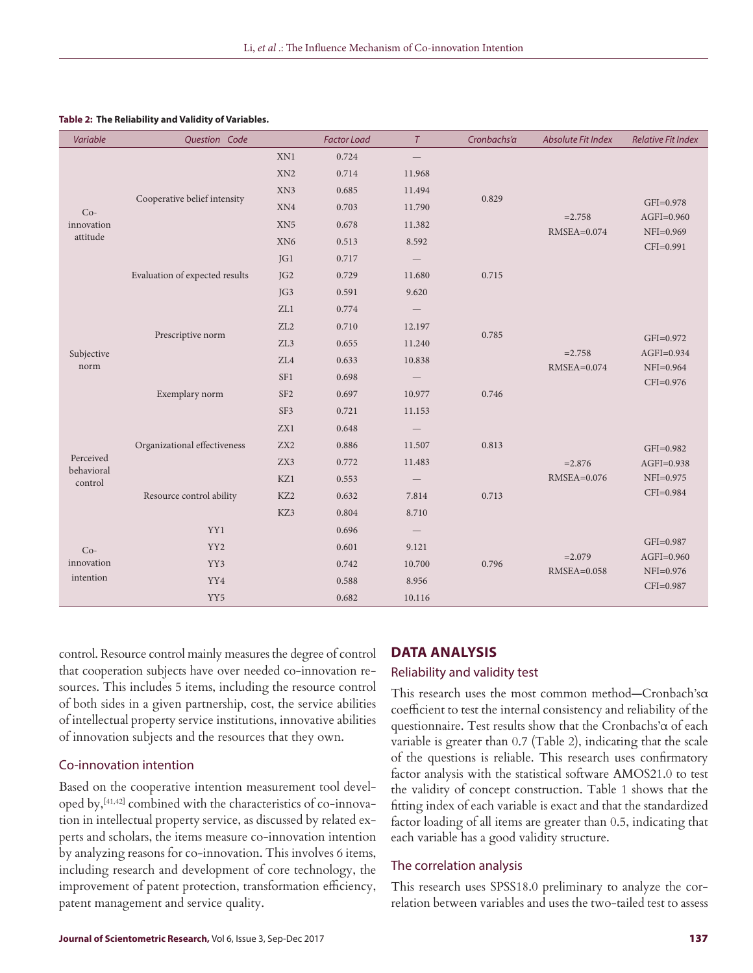| Variable                           | Question Code                  |                 | <b>Factor Load</b> | $\tau$                   | Cronbachs'a | Absolute Fit Index           | <b>Relative Fit Index</b>     |
|------------------------------------|--------------------------------|-----------------|--------------------|--------------------------|-------------|------------------------------|-------------------------------|
| $Co-$<br>innovation<br>attitude    |                                | XN1             | 0.724              | $\qquad \qquad -$        |             |                              |                               |
|                                    |                                | XN <sub>2</sub> | 0.714              | 11.968                   |             |                              |                               |
|                                    | Cooperative belief intensity   | XN3             | 0.685              | 11.494                   | 0.829       | $= 2.758$<br>$RMSEA = 0.074$ |                               |
|                                    |                                | XN4             | 0.703              | 11.790                   |             |                              | GFI=0.978                     |
|                                    |                                | XN <sub>5</sub> | 0.678              | 11.382                   |             |                              | $AGFI=0.960$<br>$NFI=0.969$   |
|                                    |                                | XN <sub>6</sub> | 0.513              | 8.592                    |             |                              | CFI=0.991                     |
|                                    |                                | JGI             | 0.717              | $\overline{\phantom{m}}$ |             |                              |                               |
|                                    | Evaluation of expected results | JG <sub>2</sub> | 0.729              | 11.680                   | 0.715       |                              |                               |
|                                    |                                | IG3             | 0.591              | 9.620                    |             |                              |                               |
|                                    |                                | ZL1             | 0.774              | $\overline{\phantom{m}}$ |             |                              |                               |
|                                    | Prescriptive norm              | ZL2             | 0.710              | 12.197                   | 0.785       | $=2.758$<br>RMSEA=0.074      |                               |
| Subjective<br>norm                 |                                | ZL3             | 0.655              | 11.240                   |             |                              | GFI=0.972                     |
|                                    |                                | ZL4             | 0.633              | 10.838                   |             |                              | $AGFI=0.934$<br>$NFI=0.964$   |
|                                    |                                | SF <sub>1</sub> | 0.698              |                          |             |                              | $CFI=0.976$                   |
|                                    | Exemplary norm                 | SF <sub>2</sub> | 0.697              | 10.977                   | 0.746       |                              |                               |
|                                    |                                | SF3             | 0.721              | 11.153                   |             |                              |                               |
| Perceived<br>behavioral<br>control |                                | ZX1             | 0.648              |                          |             |                              |                               |
|                                    | Organizational effectiveness   | ZX <sub>2</sub> | 0.886              | 11.507                   | 0.813       |                              | GFI=0.982                     |
|                                    |                                | ZX3             | 0.772              | 11.483                   |             | $= 2.876$<br>RMSEA=0.076     | $AGFI=0.938$                  |
|                                    |                                | KZ1             | 0.553              |                          |             |                              | NFI=0.975                     |
|                                    | Resource control ability       | KZ <sub>2</sub> | 0.632              | 7.814                    | 0.713       |                              | CFI=0.984                     |
|                                    |                                | KZ3             | 0.804              | 8.710                    |             |                              |                               |
|                                    | YY1                            |                 | 0.696              |                          |             |                              |                               |
| $Co-$                              | YY <sub>2</sub>                |                 | 0.601              | 9.121                    |             |                              | GFI=0.987                     |
| innovation                         | YY3                            |                 | 0.742              | 10.700                   | 0.796       | $= 2.079$<br>$RMSEA=0.058$   | $AGFI=0.960$<br>$NFI = 0.976$ |
| intention                          | YY4<br>YY <sub>5</sub>         |                 | 0.588              | 8.956                    |             |                              | CFI=0.987                     |
|                                    |                                |                 | 0.682              | 10.116                   |             |                              |                               |

#### **Table 2: The Reliability and Validity of Variables.**

control. Resource control mainly measures the degree of control that cooperation subjects have over needed co-innovation resources. This includes 5 items, including the resource control of both sides in a given partnership, cost, the service abilities of intellectual property service institutions, innovative abilities of innovation subjects and the resources that they own.

#### Co-innovation intention

Based on the cooperative intention measurement tool developed by,[41,42] combined with the characteristics of co-innovation in intellectual property service, as discussed by related experts and scholars, the items measure co-innovation intention by analyzing reasons for co-innovation. This involves 6 items, including research and development of core technology, the improvement of patent protection, transformation efficiency, patent management and service quality.

#### **DATA ANALYSIS**

#### Reliability and validity test

This research uses the most common method—Cronbach'sα coefficient to test the internal consistency and reliability of the questionnaire. Test results show that the Cronbachs'α of each variable is greater than 0.7 (Table 2), indicating that the scale of the questions is reliable. This research uses confirmatory factor analysis with the statistical software AMOS21.0 to test the validity of concept construction. Table 1 shows that the fitting index of each variable is exact and that the standardized factor loading of all items are greater than 0.5, indicating that each variable has a good validity structure.

#### The correlation analysis

This research uses SPSS18.0 preliminary to analyze the correlation between variables and uses the two-tailed test to assess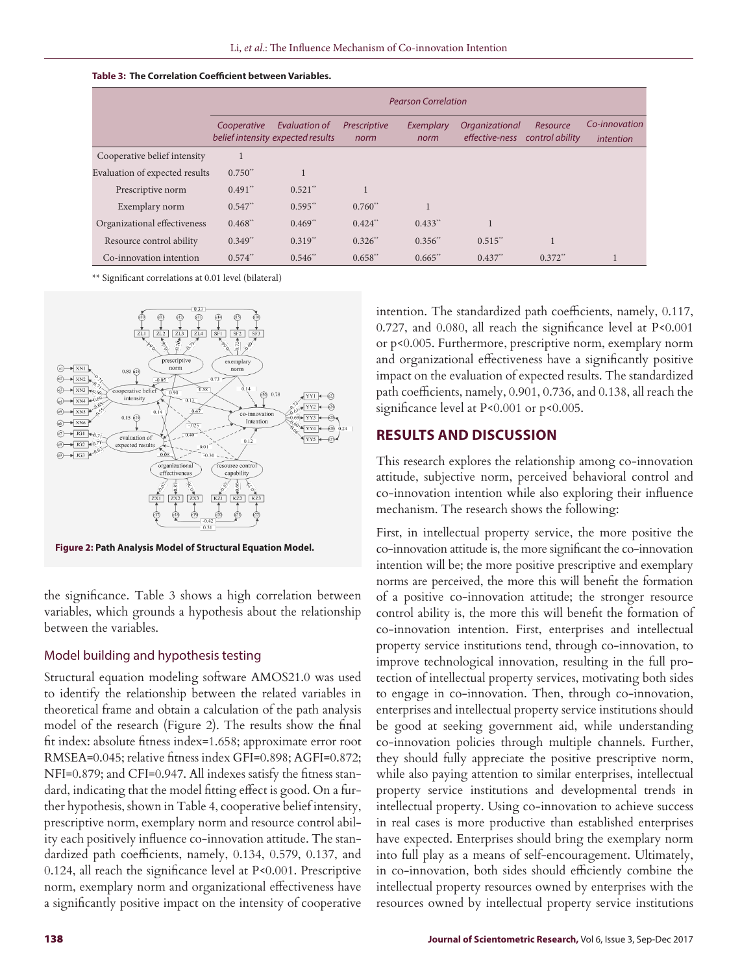#### **Table 3: The Correlation Coefficient between Variables.**

|                                | <b>Pearson Correlation</b> |                                                    |                      |                       |                                  |                             |                            |
|--------------------------------|----------------------------|----------------------------------------------------|----------------------|-----------------------|----------------------------------|-----------------------------|----------------------------|
|                                | Cooperative                | Evaluation of<br>belief intensity expected results | Prescriptive<br>norm | Exemplary<br>norm     | Organizational<br>effective-ness | Resource<br>control ability | Co-innovation<br>intention |
| Cooperative belief intensity   |                            |                                                    |                      |                       |                                  |                             |                            |
| Evaluation of expected results | $0.750**$                  |                                                    |                      |                       |                                  |                             |                            |
| Prescriptive norm              | $0.491$ **                 | $0.521$ <sup>**</sup>                              |                      |                       |                                  |                             |                            |
| Exemplary norm                 | $0.547$ **                 | $0.595**$                                          | $0.760**$            |                       |                                  |                             |                            |
| Organizational effectiveness   | $0.468$ **                 | $0.469**$                                          | $0.424$ **           | $0.433$ <sup>**</sup> |                                  |                             |                            |
| Resource control ability       | $0.349**$                  | $0.319**$                                          | $0.326$ **           | $0.356**$             | $0.515**$                        |                             |                            |
| Co-innovation intention        | $0.574$ **                 | 0.546                                              | $0.658**$            | $0.665**$             | $0.437**$                        | $0.372$ <sup>**</sup>       |                            |

\*\* Significant correlations at 0.01 level (bilateral)



**Figure 2: Path Analysis Model of Structural Equation Model.**

the significance. Table 3 shows a high correlation between variables, which grounds a hypothesis about the relationship between the variables.

#### Model building and hypothesis testing

Structural equation modeling software AMOS21.0 was used to identify the relationship between the related variables in theoretical frame and obtain a calculation of the path analysis model of the research (Figure 2). The results show the final fit index: absolute fitness index=1.658; approximate error root RMSEA=0.045; relative fitness index GFI=0.898; AGFI=0.872; NFI=0.879; and CFI=0.947. All indexes satisfy the fitness standard, indicating that the model fitting effect is good. On a further hypothesis, shown in Table 4, cooperative belief intensity, prescriptive norm, exemplary norm and resource control ability each positively influence co-innovation attitude. The standardized path coefficients, namely, 0.134, 0.579, 0.137, and 0.124, all reach the significance level at P<0.001. Prescriptive norm, exemplary norm and organizational effectiveness have a significantly positive impact on the intensity of cooperative intention. The standardized path coefficients, namely, 0.117, 0.727, and 0.080, all reach the significance level at P<0.001 or p<0.005. Furthermore, prescriptive norm, exemplary norm and organizational effectiveness have a significantly positive impact on the evaluation of expected results. The standardized path coefficients, namely, 0.901, 0.736, and 0.138, all reach the significance level at P<0.001 or p<0.005.

# **RESULTS AND DISCUSSION**

This research explores the relationship among co-innovation attitude, subjective norm, perceived behavioral control and co-innovation intention while also exploring their influence mechanism. The research shows the following:

First, in intellectual property service, the more positive the co-innovation attitude is, the more significant the co-innovation intention will be; the more positive prescriptive and exemplary norms are perceived, the more this will benefit the formation of a positive co-innovation attitude; the stronger resource control ability is, the more this will benefit the formation of co-innovation intention. First, enterprises and intellectual property service institutions tend, through co-innovation, to improve technological innovation, resulting in the full protection of intellectual property services, motivating both sides to engage in co-innovation. Then, through co-innovation, enterprises and intellectual property service institutions should be good at seeking government aid, while understanding co-innovation policies through multiple channels. Further, they should fully appreciate the positive prescriptive norm, while also paying attention to similar enterprises, intellectual property service institutions and developmental trends in intellectual property. Using co-innovation to achieve success in real cases is more productive than established enterprises have expected. Enterprises should bring the exemplary norm into full play as a means of self-encouragement. Ultimately, in co-innovation, both sides should efficiently combine the intellectual property resources owned by enterprises with the resources owned by intellectual property service institutions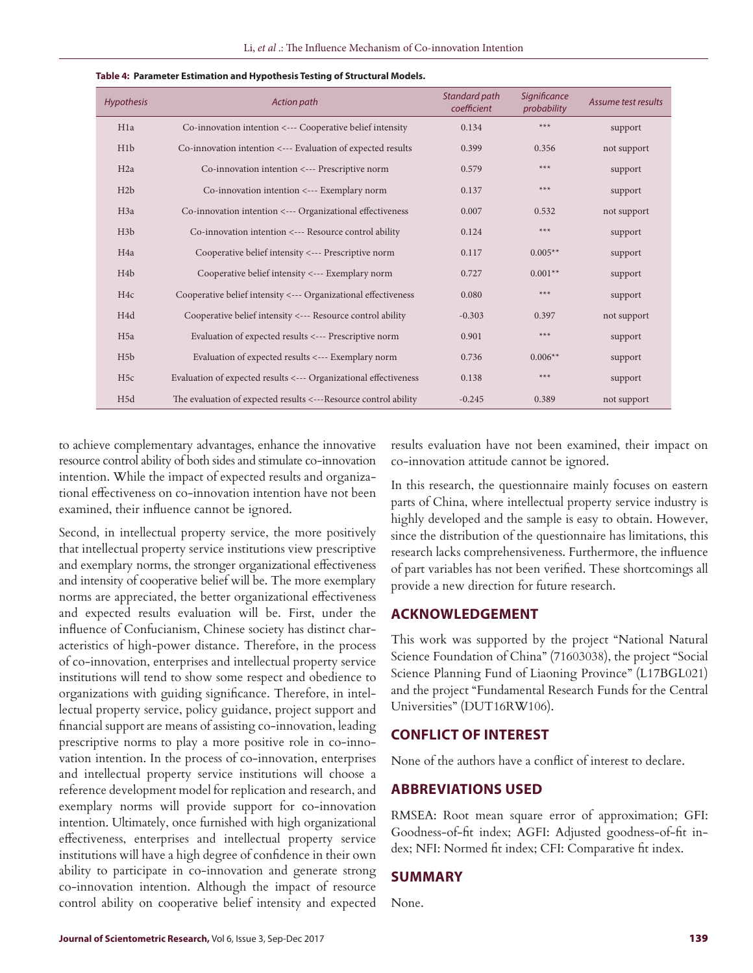| <b>Hypothesis</b> | Action path                                                      | Standard path<br>coefficient | <b>Significance</b><br>probability | Assume test results |
|-------------------|------------------------------------------------------------------|------------------------------|------------------------------------|---------------------|
| H <sub>1</sub> a  | Co-innovation intention <--- Cooperative belief intensity        | 0.134                        | $***$                              | support             |
| H <sub>1</sub> b  | Co-innovation intention <--- Evaluation of expected results      | 0.399                        | 0.356                              | not support         |
| H <sub>2a</sub>   | Co-innovation intention <--- Prescriptive norm                   | 0.579                        | $***$                              | support             |
| H2b               | Co-innovation intention <--- Exemplary norm                      | 0.137                        | $***$                              | support             |
| H <sub>3</sub> a  | Co-innovation intention <--- Organizational effectiveness        | 0.007                        | 0.532                              | not support         |
| H3b               | Co-innovation intention <--- Resource control ability            | 0.124                        | $***$                              | support             |
| H <sub>4a</sub>   | Cooperative belief intensity <--- Prescriptive norm              | 0.117                        | $0.005**$                          | support             |
| H <sub>4</sub> b  | Cooperative belief intensity <--- Exemplary norm                 | 0.727                        | $0.001**$                          | support             |
| H <sub>4c</sub>   | Cooperative belief intensity <--- Organizational effectiveness   | 0.080                        | $***$                              | support             |
| H <sub>4</sub> d  | Cooperative belief intensity <--- Resource control ability       | $-0.303$                     | 0.397                              | not support         |
| H <sub>5a</sub>   | Evaluation of expected results <--- Prescriptive norm            | 0.901                        | $***$                              | support             |
| H5b               | Evaluation of expected results <--- Exemplary norm               | 0.736                        | $0.006**$                          | support             |
| H5c               | Evaluation of expected results <--- Organizational effectiveness | 0.138                        | $***$                              | support             |
| H <sub>5d</sub>   | The evaluation of expected results <---Resource control ability  | $-0.245$                     | 0.389                              | not support         |

#### **Table 4: Parameter Estimation and Hypothesis Testing of Structural Models.**

to achieve complementary advantages, enhance the innovative resource control ability of both sides and stimulate co-innovation intention. While the impact of expected results and organizational effectiveness on co-innovation intention have not been examined, their influence cannot be ignored.

Second, in intellectual property service, the more positively that intellectual property service institutions view prescriptive and exemplary norms, the stronger organizational effectiveness and intensity of cooperative belief will be. The more exemplary norms are appreciated, the better organizational effectiveness and expected results evaluation will be. First, under the influence of Confucianism, Chinese society has distinct characteristics of high-power distance. Therefore, in the process of co-innovation, enterprises and intellectual property service institutions will tend to show some respect and obedience to organizations with guiding significance. Therefore, in intellectual property service, policy guidance, project support and financial support are means of assisting co-innovation, leading prescriptive norms to play a more positive role in co-innovation intention. In the process of co-innovation, enterprises and intellectual property service institutions will choose a reference development model for replication and research, and exemplary norms will provide support for co-innovation intention. Ultimately, once furnished with high organizational effectiveness, enterprises and intellectual property service institutions will have a high degree of confidence in their own ability to participate in co-innovation and generate strong co-innovation intention. Although the impact of resource control ability on cooperative belief intensity and expected

results evaluation have not been examined, their impact on co-innovation attitude cannot be ignored.

In this research, the questionnaire mainly focuses on eastern parts of China, where intellectual property service industry is highly developed and the sample is easy to obtain. However, since the distribution of the questionnaire has limitations, this research lacks comprehensiveness. Furthermore, the influence of part variables has not been verified. These shortcomings all provide a new direction for future research.

# **ACKNOWLEDGEMENT**

This work was supported by the project "National Natural Science Foundation of China" (71603038), the project "Social Science Planning Fund of Liaoning Province" (L17BGL021) and the project "Fundamental Research Funds for the Central Universities" (DUT16RW106).

# **CONFLICT OF INTEREST**

None of the authors have a conflict of interest to declare.

# **ABBREVIATIONS USED**

RMSEA: Root mean square error of approximation; GFI: Goodness-of-fit index; AGFI: Adjusted goodness-of-fit index; NFI: Normed fit index; CFI: Comparative fit index.

#### **SUMMARY**

None.